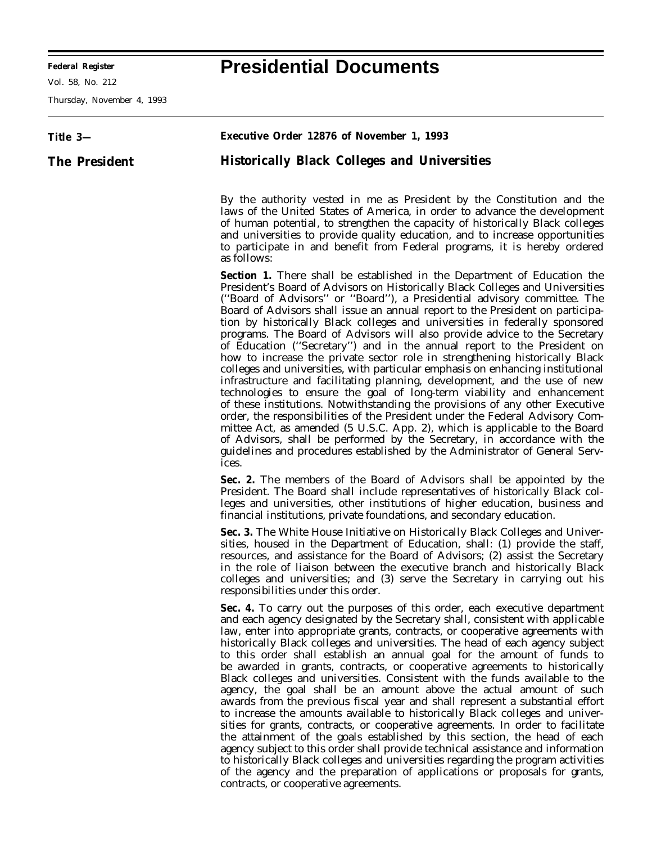**Federal Register Presidential Documents**

Vol. 58, No. 212

Thursday, November 4, 1993

## **Title 3— The President Executive Order 12876 of November 1, 1993 Historically Black Colleges and Universities** By the authority vested in me as President by the Constitution and the laws of the United States of America, in order to advance the development of human potential, to strengthen the capacity of historically Black colleges and universities to provide quality education, and to increase opportunities to participate in and benefit from Federal programs, it is hereby ordered as follows: **Section 1.** There shall be established in the Department of Education the President's Board of Advisors on Historically Black Colleges and Universities (''Board of Advisors'' or ''Board''), a Presidential advisory committee. The Board of Advisors shall issue an annual report to the President on participation by historically Black colleges and universities in federally sponsored programs. The Board of Advisors will also provide advice to the Secretary of Education (''Secretary'') and in the annual report to the President on how to increase the private sector role in strengthening historically Black colleges and universities, with particular emphasis on enhancing institutional infrastructure and facilitating planning, development, and the use of new technologies to ensure the goal of long-term viability and enhancement of these institutions. Notwithstanding the provisions of any other Executive order, the responsibilities of the President under the Federal Advisory Committee Act, as amended (5 U.S.C. App. 2), which is applicable to the Board of Advisors, shall be performed by the Secretary, in accordance with the guidelines and procedures established by the Administrator of General Services. **Sec. 2.** The members of the Board of Advisors shall be appointed by the President. The Board shall include representatives of historically Black colleges and universities, other institutions of higher education, business and financial institutions, private foundations, and secondary education. **Sec. 3.** The White House Initiative on Historically Black Colleges and Universities, housed in the Department of Education, shall: (1) provide the staff, resources, and assistance for the Board of Advisors; (2) assist the Secretary in the role of liaison between the executive branch and historically Black colleges and universities; and (3) serve the Secretary in carrying out his responsibilities under this order. Sec. 4. To carry out the purposes of this order, each executive department and each agency designated by the Secretary shall, consistent with applicable law, enter into appropriate grants, contracts, or cooperative agreements with historically Black colleges and universities. The head of each agency subject to this order shall establish an annual goal for the amount of funds to be awarded in grants, contracts, or cooperative agreements to historically Black colleges and universities. Consistent with the funds available to the agency, the goal shall be an amount above the actual amount of such awards from the previous fiscal year and shall represent a substantial effort to increase the amounts available to historically Black colleges and universities for grants, contracts, or cooperative agreements. In order to facilitate the attainment of the goals established by this section, the head of each agency subject to this order shall provide technical assistance and information to historically Black colleges and universities regarding the program activities of the agency and the preparation of applications or proposals for grants, contracts, or cooperative agreements.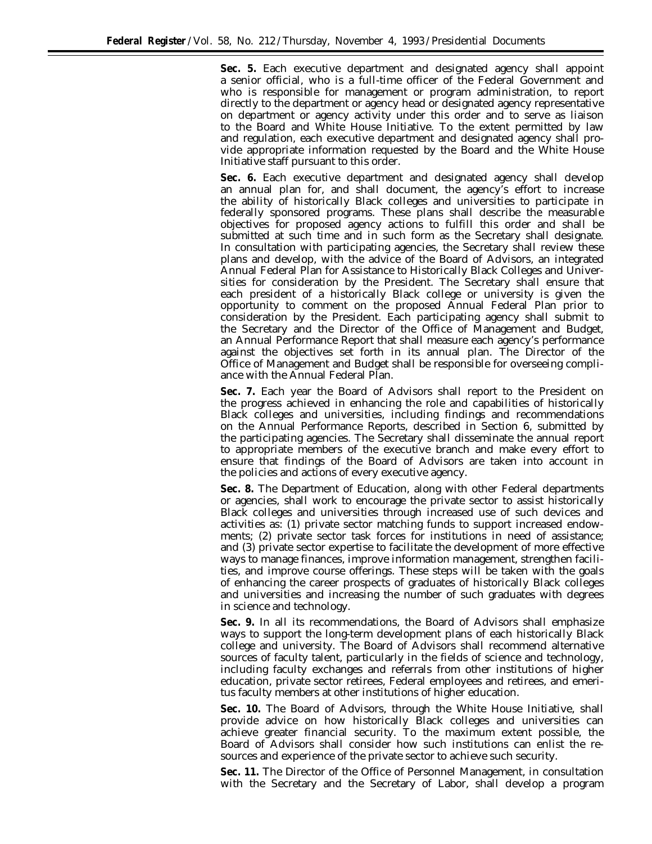**Sec. 5.** Each executive department and designated agency shall appoint a senior official, who is a full-time officer of the Federal Government and who is responsible for management or program administration, to report directly to the department or agency head or designated agency representative on department or agency activity under this order and to serve as liaison to the Board and White House Initiative. To the extent permitted by law and regulation, each executive department and designated agency shall provide appropriate information requested by the Board and the White House Initiative staff pursuant to this order.

**Sec. 6.** Each executive department and designated agency shall develop an annual plan for, and shall document, the agency's effort to increase the ability of historically Black colleges and universities to participate in federally sponsored programs. These plans shall describe the measurable objectives for proposed agency actions to fulfill this order and shall be submitted at such time and in such form as the Secretary shall designate. In consultation with participating agencies, the Secretary shall review these plans and develop, with the advice of the Board of Advisors, an integrated Annual Federal Plan for Assistance to Historically Black Colleges and Universities for consideration by the President. The Secretary shall ensure that each president of a historically Black college or university is given the opportunity to comment on the proposed Annual Federal Plan prior to consideration by the President. Each participating agency shall submit to the Secretary and the Director of the Office of Management and Budget, an Annual Performance Report that shall measure each agency's performance against the objectives set forth in its annual plan. The Director of the Office of Management and Budget shall be responsible for overseeing compliance with the Annual Federal Plan.

**Sec. 7.** Each year the Board of Advisors shall report to the President on the progress achieved in enhancing the role and capabilities of historically Black colleges and universities, including findings and recommendations on the Annual Performance Reports, described in Section 6, submitted by the participating agencies. The Secretary shall disseminate the annual report to appropriate members of the executive branch and make every effort to ensure that findings of the Board of Advisors are taken into account in the policies and actions of every executive agency.

**Sec. 8.** The Department of Education, along with other Federal departments or agencies, shall work to encourage the private sector to assist historically Black colleges and universities through increased use of such devices and activities as: (1) private sector matching funds to support increased endowments; (2) private sector task forces for institutions in need of assistance; and (3) private sector expertise to facilitate the development of more effective ways to manage finances, improve information management, strengthen facilities, and improve course offerings. These steps will be taken with the goals of enhancing the career prospects of graduates of historically Black colleges and universities and increasing the number of such graduates with degrees in science and technology.

**Sec. 9.** In all its recommendations, the Board of Advisors shall emphasize ways to support the long-term development plans of each historically Black college and university. The Board of Advisors shall recommend alternative sources of faculty talent, particularly in the fields of science and technology, including faculty exchanges and referrals from other institutions of higher education, private sector retirees, Federal employees and retirees, and emeritus faculty members at other institutions of higher education.

**Sec. 10.** The Board of Advisors, through the White House Initiative, shall provide advice on how historically Black colleges and universities can achieve greater financial security. To the maximum extent possible, the Board of Advisors shall consider how such institutions can enlist the resources and experience of the private sector to achieve such security.

**Sec. 11.** The Director of the Office of Personnel Management, in consultation with the Secretary and the Secretary of Labor, shall develop a program